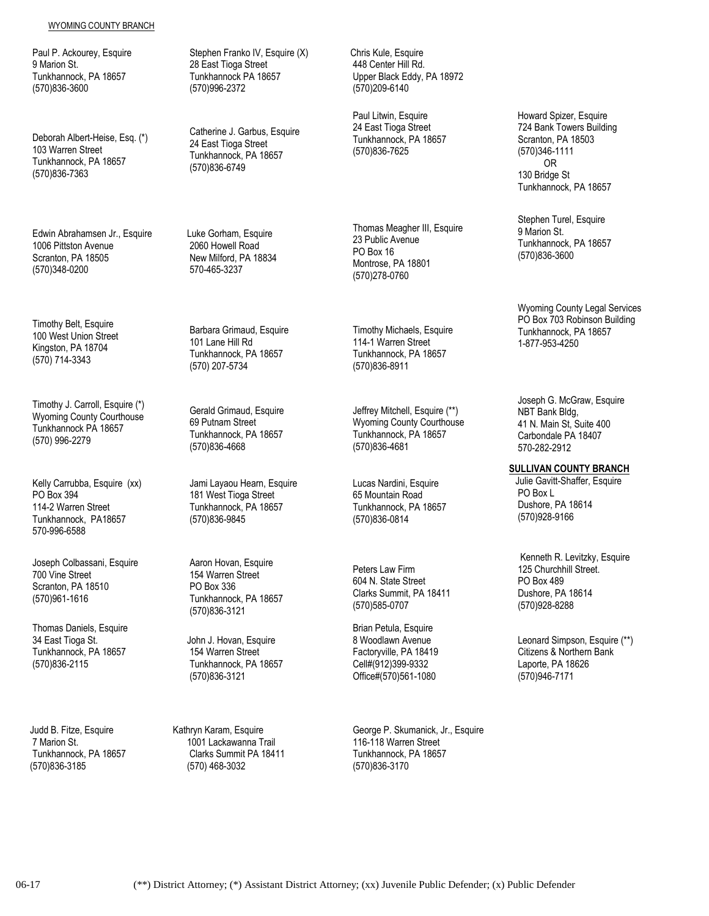## WYOMING COUNTY BRANCH

Paul P. Ackourey, Esquire 9 Marion St. Tunkhannock, PA 18657 (570)836-3600

Deborah Albert-Heise, Esq. (\*) 103 Warren Street Tunkhannock, PA 18657 (570)836-7363

Edwin Abrahamsen Jr., Esquire 1006 Pittston Avenue Scranton, PA 18505 (570)348-0200

Timothy Belt, Esquire 100 West Union Street Kingston, PA 18704 (570) 714-3343

Timothy J. Carroll, Esquire (\*) Wyoming County Courthouse Tunkhannock PA 18657 (570) 996-2279

Kelly Carrubba, Esquire (xx) PO Box 394 114-2 Warren Street Tunkhannock, PA18657 570-996-6588

Joseph Colbassani, Esquire 700 Vine Street Scranton, PA 18510 (570)961-1616

Thomas Daniels, Esquire 34 East Tioga St. Tunkhannock, PA 18657 (570)836-2115

 Judd B. Fitze, Esquire 7 Marion St. Tunkhannock, PA 18657 (570)836-3185

Stephen Franko IV, Esquire (X) 28 East Tioga Street Tunkhannock PA 18657 (570)996-2372

Catherine J. Garbus, Esquire 24 East Tioga Street Tunkhannock, PA 18657 (570)836-6749

 Luke Gorham, Esquire 2060 Howell Road New Milford, PA 18834 570-465-3237

Barbara Grimaud, Esquire 101 Lane Hill Rd Tunkhannock, PA 18657 (570) 207-5734

Gerald Grimaud, Esquire 69 Putnam Street Tunkhannock, PA 18657 (570)836-4668

Jami Layaou Hearn, Esquire 181 West Tioga Street Tunkhannock, PA 18657 (570)836-9845

Aaron Hovan, Esquire 154 Warren Street PO Box 336 Tunkhannock, PA 18657 (570)836-3121

 John J. Hovan, Esquire 154 Warren Street Tunkhannock, PA 18657 (570)836-3121

Kathryn Karam, Esquire 1001 Lackawanna Trail Clarks Summit PA 18411 (570) 468-3032

 Chris Kule, Esquire 448 Center Hill Rd. Upper Black Eddy, PA 18972 (570)209-6140

Paul Litwin, Esquire 24 East Tioga Street Tunkhannock, PA 18657 (570)836-7625

Thomas Meagher III, Esquire 23 Public Avenue PO Box 16 Montrose, PA 18801 (570)278-0760

Timothy Michaels, Esquire 114-1 Warren Street Tunkhannock, PA 18657 (570)836-8911

Jeffrey Mitchell, Esquire (\*\*) Wyoming County Courthouse Tunkhannock, PA 18657 (570)836-4681

Lucas Nardini, Esquire 65 Mountain Road Tunkhannock, PA 18657 (570)836-0814

Peters Law Firm 604 N. State Street Clarks Summit, PA 18411 (570)585-0707

Brian Petula, Esquire 8 Woodlawn Avenue Factoryville, PA 18419 Cell#(912)399-9332 Office#(570)561-1080

George P. Skumanick, Jr., Esquire 116-118 Warren Street Tunkhannock, PA 18657 (570)836-3170

 Howard Spizer, Esquire 724 Bank Towers Building Scranton, PA 18503 (570)346-1111 OR 130 Bridge St Tunkhannock, PA 18657

Tunkhannock, PA 18657 Stephen Turel, Esquire 9 Marion St. (570)836-3600

Wyoming County Legal Services PO Box 703 Robinson Building Tunkhannock, PA 18657 1-877-953-4250

Joseph G. McGraw, Esquire NBT Bank Bldg, 41 N. Main St, Suite 400 Carbondale PA 18407 570-282-2912

**SULLIVAN COUNTY BRANCH**

 Julie Gavitt-Shaffer, Esquire PO Box L Dushore, PA 18614 (570)928-9166

Kenneth R. Levitzky, Esquire 125 Churchhill Street. PO Box 489 Dushore, PA 18614 (570)928-8288

Leonard Simpson, Esquire (\*\*) Citizens & Northern Bank Laporte, PA 18626 (570)946-7171